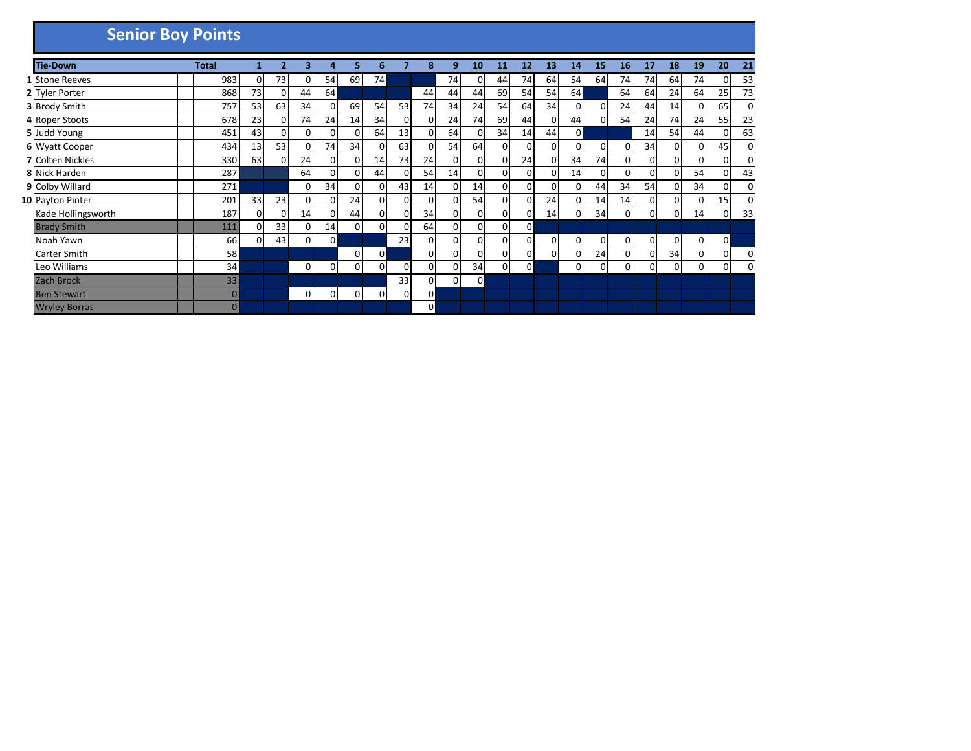| <b>Senior Boy Points</b> |              |          |                |          |          |          |    |          |             |    |                |    |          |    |          |                |    |                |          |                |                |             |
|--------------------------|--------------|----------|----------------|----------|----------|----------|----|----------|-------------|----|----------------|----|----------|----|----------|----------------|----|----------------|----------|----------------|----------------|-------------|
| Tie-Down                 | <b>Total</b> |          | $\overline{2}$ | 3        | 4        | 5        | 6  | 7        | 8           | 9  | 10             | 11 | 12       | 13 | 14       | 15             | 16 | 17             | 18       | 19             | 20             | 21          |
| 1 Stone Reeves           | 983          | 0        | 73             | 0        | 54       | 69       | 74 |          |             | 74 | 0              | 44 | 74       | 64 | 54       | 64             | 74 | 74             | 64       | 74             | $\Omega$       | 53          |
| 2 Tyler Porter           | 868          | 73       | 0              | 44       | 64       |          |    |          | 44          | 44 | 44             | 69 | 54       | 54 | 64       |                | 64 | 64             | 24       | 64             | 25             | 73          |
| <b>3</b> Brody Smith     | 757          | 53       | 63             | 34       | 0        | 69       | 54 | 53       | 74          | 34 | 24             | 54 | 64       | 34 | 0        | $\overline{0}$ | 24 | 44             | 14       | $\overline{0}$ | 65             | 0           |
| 4 Roper Stoots           | 678          | 23       | $\Omega$       | 74       | 24       | 14       | 34 | 0        | 0           | 24 | 74             | 69 | 44       | 0  | 44       | $\overline{0}$ | 54 | 24             | 74       | 24             | 55             | 23          |
| 5 Judd Young             | 451          | 43       | 0              | 0        | 0        | 0        | 64 | 13       | 0           | 64 | 0              | 34 | 14       | 44 | 0        |                |    | 14             | 54       | 44             | $\overline{0}$ | 63          |
| 6 Wyatt Cooper           | 434          | 13       | 53             | 0        | 74       | 34       | 0  | 63       | $\Omega$    | 54 | 64             | 0  | 0        | 0  | 0        | $\Omega$       | 0  | 34             | $\Omega$ | $\Omega$       | 45             | 0           |
| <b>7</b> Colten Nickles  | 330          | 63       | 0              | 24       | 0        | 0        | 14 | 73       | 24          | 0  | 0              | 0  | 24       | 0  | 34       | 74             | 0  | $\overline{0}$ | 0        | $\overline{0}$ | $\mathbf{0}$   | 0           |
| 8 Nick Harden            | 287          |          |                | 64       | 0        | $\Omega$ | 44 | $\Omega$ | 54          | 14 | 0              | 0  | 0        | 0  | 14       | $\Omega$       | 0  | $\overline{0}$ | 0        | 54             | $\Omega$       | 43          |
| 9 Colby Willard          | 271          |          |                | 0        | 34       | 0        | 0  | 43       | 14          | 0  | 14             | 0  | 0        | 0  | 0        | 44             | 34 | 54             | $\Omega$ | 34             | 0              | 0           |
| 10 Payton Pinter         | 201          | 33       | 23             | $\Omega$ | $\Omega$ | 24       | 0  | $\Omega$ | $\mathbf 0$ | 0  | 54             | 0  | $\Omega$ | 24 | $\Omega$ | 14             | 14 | $\overline{0}$ | $\Omega$ | $\Omega$       | 15             | 0           |
| Kade Hollingsworth       | 187          | $\Omega$ | 0              | 14       | 0        | 44       | 0  | 0        | 34          | 0  | 0              | 0  | 0        | 14 | 0        | 34             | 0  | $\overline{0}$ | 0        | 14             | $\Omega$       | 33          |
| <b>Brady Smith</b>       | 111          | $\Omega$ | 33             | 0        | 14       | $\Omega$ | 0  | 0        | 64          | 0  | 0              | 0  | οI       |    |          |                |    |                |          |                |                |             |
| Noah Yawn                | 66           | $\Omega$ | 43             | 0        | 0        |          |    | 23       | 0           | 0  | 0              | 0  | 0        | 0  | 0        | 0              | 0  | $\overline{0}$ | $\Omega$ | $\overline{0}$ | $\overline{0}$ |             |
| Carter Smith             | 58           |          |                |          |          | 0        | 0  |          | 0           | 0  | 0              | 0  | 0        | 0  | 0        | 24             | 0  | $\overline{0}$ | 34       | $\mathbf{0}$   | $\overline{0}$ | 0           |
| Leo Williams             | 34           |          |                | 0        | 0        | 0        | 0  | 0        | 0           | 0  | 34             | 0  | οI       |    | 0        | 0              | 0  | $\overline{0}$ | 0        | $\overline{0}$ | $\overline{0}$ | $\mathbf 0$ |
| <b>Zach Brock</b>        | 33           |          |                |          |          |          |    | 33       | 0           | 0  | $\overline{0}$ |    |          |    |          |                |    |                |          |                |                |             |
| <b>Ben Stewart</b>       | $\mathbf 0$  |          |                | 0        | 0        | 0        | 0  | 0        | 0           |    |                |    |          |    |          |                |    |                |          |                |                |             |
| <b>Wryley Borras</b>     | $\Omega$     |          |                |          |          |          |    |          | 0           |    |                |    |          |    |          |                |    |                |          |                |                |             |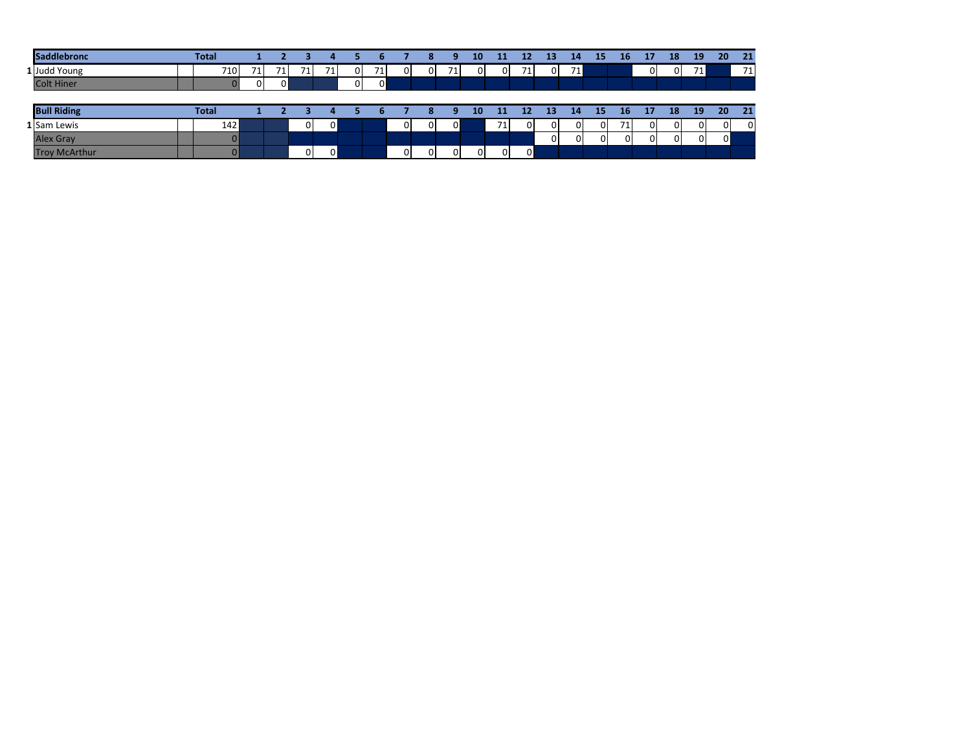| <b>Saddlebronc</b> | Total        |           |                |    |          |          |              |          | 8              | 9        | 10 | 11       | 12       | 13       | 14              | 15       | 16       | 17       | 18       | 19              | 20 <sub>1</sub> | 21              |
|--------------------|--------------|-----------|----------------|----|----------|----------|--------------|----------|----------------|----------|----|----------|----------|----------|-----------------|----------|----------|----------|----------|-----------------|-----------------|-----------------|
| 1 Judd Young       |              | 710<br>71 | 71.            | 71 | 71.      | $\Omega$ | 71,          | $\Omega$ | $\Omega$       | 71       | 01 | $\Omega$ | 71       | $\Omega$ | 71 <sub>h</sub> |          |          | 01       | $\Omega$ | 71 <sub>h</sub> |                 | 71 <sub>1</sub> |
| <b>Colt Hiner</b>  |              | $\Omega$  | $\overline{0}$ |    |          | ΟI       | $\mathbf{0}$ |          |                |          |    |          |          |          |                 |          |          |          |          |                 |                 |                 |
|                    |              |           |                |    |          |          |              |          |                |          |    |          |          |          |                 |          |          |          |          |                 |                 |                 |
|                    |              |           |                |    |          |          |              |          |                |          |    |          |          |          |                 |          |          |          |          |                 |                 |                 |
| <b>Bull Riding</b> | <b>Total</b> |           |                |    |          |          |              |          | $\bullet$<br>o | 9        | 10 | 11       | 12       | 13       | 14              | 15       | 16       | 17       | 18       | 19              | 20              | 21              |
| 1 Sam Lewis        |              | 142 l     |                | 01 | $\Omega$ |          |              | ΟI       | $\Omega$       | $\Omega$ |    | 71       | $\Omega$ | $\Omega$ | $\Omega$        | $\Omega$ | 71.      | $\Omega$ | $\Omega$ | $\Omega$        | $\Omega$        | 0               |
| <b>Alex Gray</b>   |              | $\Omega$  |                |    |          |          |              |          |                |          |    |          |          | 0        | 0               | $\Omega$ | $\Omega$ | $\Omega$ | $\Omega$ | $\Omega$        | $\overline{0}$  |                 |